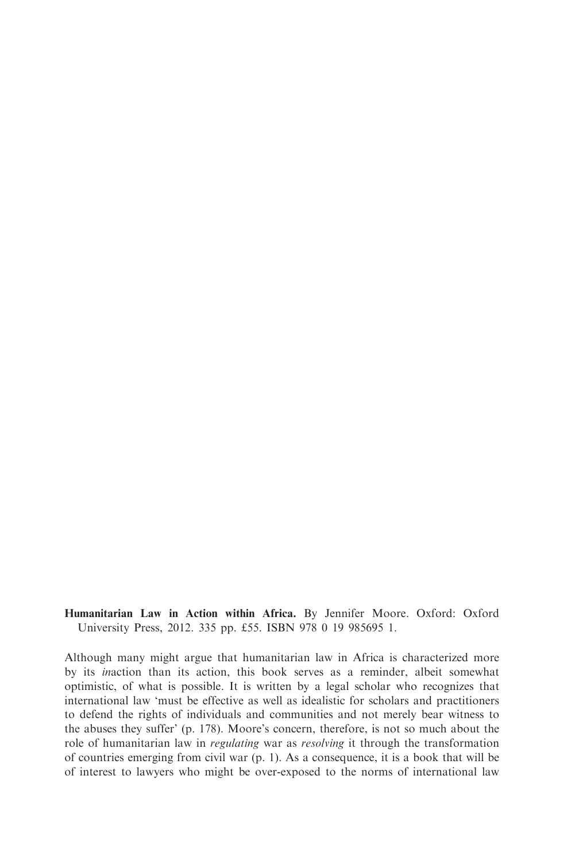Humanitarian Law in Action within Africa. By Jennifer Moore. Oxford: Oxford University Press, 2012. 335 pp. £55. ISBN 978 0 19 985695 1.

Although many might argue that humanitarian law in Africa is characterized more by its inaction than its action, this book serves as a reminder, albeit somewhat optimistic, of what is possible. It is written by a legal scholar who recognizes that international law 'must be effective as well as idealistic for scholars and practitioners to defend the rights of individuals and communities and not merely bear witness to the abuses they suffer' (p. 178). Moore's concern, therefore, is not so much about the role of humanitarian law in regulating war as resolving it through the transformation of countries emerging from civil war (p. 1). As a consequence, it is a book that will be of interest to lawyers who might be over-exposed to the norms of international law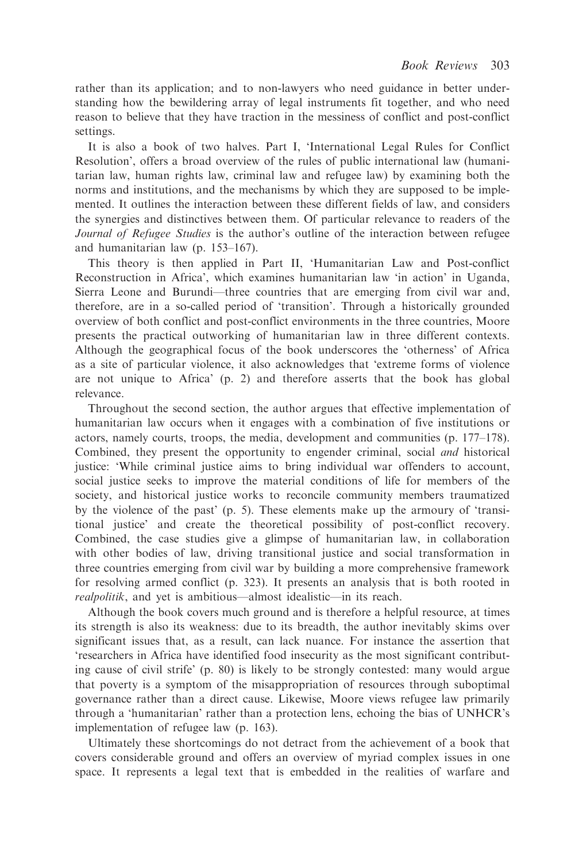rather than its application; and to non-lawyers who need guidance in better understanding how the bewildering array of legal instruments fit together, and who need reason to believe that they have traction in the messiness of conflict and post-conflict settings.

It is also a book of two halves. Part I, 'International Legal Rules for Conflict Resolution', offers a broad overview of the rules of public international law (humanitarian law, human rights law, criminal law and refugee law) by examining both the norms and institutions, and the mechanisms by which they are supposed to be implemented. It outlines the interaction between these different fields of law, and considers the synergies and distinctives between them. Of particular relevance to readers of the Journal of Refugee Studies is the author's outline of the interaction between refugee and humanitarian law (p. 153–167).

This theory is then applied in Part II, 'Humanitarian Law and Post-conflict Reconstruction in Africa', which examines humanitarian law 'in action' in Uganda, Sierra Leone and Burundi—three countries that are emerging from civil war and, therefore, are in a so-called period of 'transition'. Through a historically grounded overview of both conflict and post-conflict environments in the three countries, Moore presents the practical outworking of humanitarian law in three different contexts. Although the geographical focus of the book underscores the 'otherness' of Africa as a site of particular violence, it also acknowledges that 'extreme forms of violence are not unique to Africa' (p. 2) and therefore asserts that the book has global relevance.

Throughout the second section, the author argues that effective implementation of humanitarian law occurs when it engages with a combination of five institutions or actors, namely courts, troops, the media, development and communities (p. 177–178). Combined, they present the opportunity to engender criminal, social and historical justice: 'While criminal justice aims to bring individual war offenders to account, social justice seeks to improve the material conditions of life for members of the society, and historical justice works to reconcile community members traumatized by the violence of the past' (p. 5). These elements make up the armoury of 'transitional justice' and create the theoretical possibility of post-conflict recovery. Combined, the case studies give a glimpse of humanitarian law, in collaboration with other bodies of law, driving transitional justice and social transformation in three countries emerging from civil war by building a more comprehensive framework for resolving armed conflict (p. 323). It presents an analysis that is both rooted in realpolitik, and yet is ambitious—almost idealistic—in its reach.

Although the book covers much ground and is therefore a helpful resource, at times its strength is also its weakness: due to its breadth, the author inevitably skims over significant issues that, as a result, can lack nuance. For instance the assertion that 'researchers in Africa have identified food insecurity as the most significant contributing cause of civil strife' (p. 80) is likely to be strongly contested: many would argue that poverty is a symptom of the misappropriation of resources through suboptimal governance rather than a direct cause. Likewise, Moore views refugee law primarily through a 'humanitarian' rather than a protection lens, echoing the bias of UNHCR's implementation of refugee law (p. 163).

Ultimately these shortcomings do not detract from the achievement of a book that covers considerable ground and offers an overview of myriad complex issues in one space. It represents a legal text that is embedded in the realities of warfare and